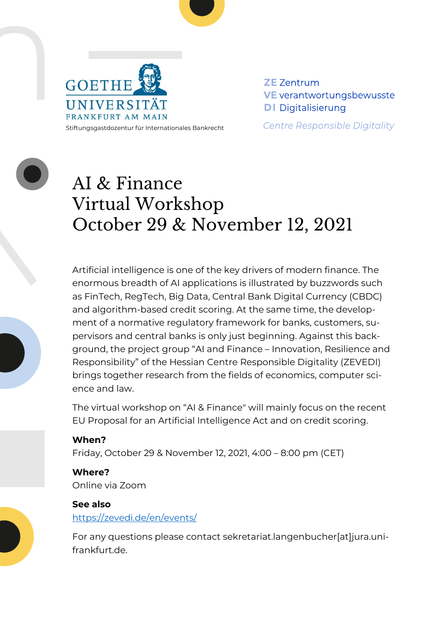



Stiftungsgastdozentur für Internationales Bankrecht

**ZE** Zentrum **VE** verantwortungsbewusste **DI** Digitalisierung

**Centre Responsible Digitality** 



# AI & Finance Virtual Workshop October 29 & November 12, 2021

Artificial intelligence is one of the key drivers of modern finance. The enormous breadth of AI applications is illustrated by buzzwords such as FinTech, RegTech, Big Data, Central Bank Digital Currency (CBDC) and algorithm-based credit scoring. At the same time, the development of a normative regulatory framework for banks, customers, supervisors and central banks is only just beginning. Against this background, the project group "AI and Finance – Innovation, Resilience and Responsibility" of the Hessian Centre Responsible Digitality (ZEVEDI) brings together research from the fields of economics, computer science and law.

The virtual workshop on "AI & Finance" will mainly focus on the recent EU Proposal for an Artificial Intelligence Act and on credit scoring.

# **When?** Friday, October 29 & November 12, 2021, 4:00 – 8:00 pm (CET)

**Where?** Online via Zoom

### **See also** <https://zevedi.de/en/events/>

For any questions please contact sekretariat.langenbucher[at]jura.unifrankfurt.de.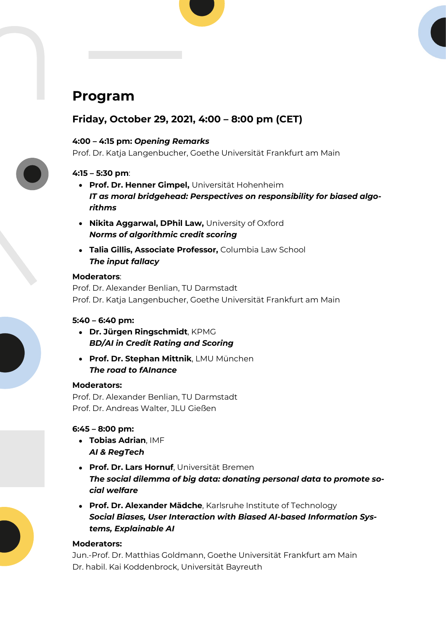# **Program**

## **Friday, October 29, 2021, 4:00 – 8:00 pm (CET)**

#### **4:00 – 4:15 pm:** *Opening Remarks*

Prof. Dr. Katja Langenbucher, Goethe Universität Frankfurt am Main

#### **4:15 – 5:30 pm**:

- **Prof. Dr. Henner Gimpel,** Universität Hohenheim *IT as moral bridgehead: Perspectives on responsibility for biased algorithms*
- **Nikita Aggarwal, DPhil Law,** University of Oxford *Norms of algorithmic credit scoring*
- **Talia Gillis, Associate Professor,** Columbia Law School *The input fallacy*

#### **Moderators**:

Prof. Dr. Alexander Benlian, TU Darmstadt Prof. Dr. Katja Langenbucher, Goethe Universität Frankfurt am Main

#### **5:40 – 6:40 pm:**

- **Dr. Jürgen Ringschmidt**, KPMG *BD/AI in Credit Rating and Scoring*
- **Prof. Dr. Stephan Mittnik**, LMU München *The road to fAInance*

#### **Moderators:**

Prof. Dr. Alexander Benlian, TU Darmstadt Prof. Dr. Andreas Walter, JLU Gießen

#### **6:45 – 8:00 pm:**

- **Tobias Adrian**, IMF *AI & RegTech*
- **Prof. Dr. Lars Hornuf**, Universität Bremen *The social dilemma of big data: donating personal data to promote social welfare*
- **Prof. Dr. Alexander Mädche**, Karlsruhe Institute of Technology *Social Biases, User Interaction with Biased AI-based Information Systems, Explainable AI*

#### **Moderators:**

Jun.-Prof. Dr. Matthias Goldmann, Goethe Universität Frankfurt am Main Dr. habil. Kai Koddenbrock, Universität Bayreuth